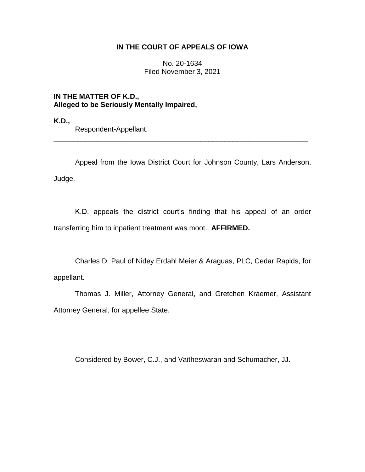## **IN THE COURT OF APPEALS OF IOWA**

No. 20-1634 Filed November 3, 2021

**IN THE MATTER OF K.D., Alleged to be Seriously Mentally Impaired,**

**K.D.,**

Respondent-Appellant.

Appeal from the Iowa District Court for Johnson County, Lars Anderson, Judge.

\_\_\_\_\_\_\_\_\_\_\_\_\_\_\_\_\_\_\_\_\_\_\_\_\_\_\_\_\_\_\_\_\_\_\_\_\_\_\_\_\_\_\_\_\_\_\_\_\_\_\_\_\_\_\_\_\_\_\_\_\_\_\_\_

K.D. appeals the district court's finding that his appeal of an order transferring him to inpatient treatment was moot. **AFFIRMED.**

Charles D. Paul of Nidey Erdahl Meier & Araguas, PLC, Cedar Rapids, for appellant.

Thomas J. Miller, Attorney General, and Gretchen Kraemer, Assistant Attorney General, for appellee State.

Considered by Bower, C.J., and Vaitheswaran and Schumacher, JJ.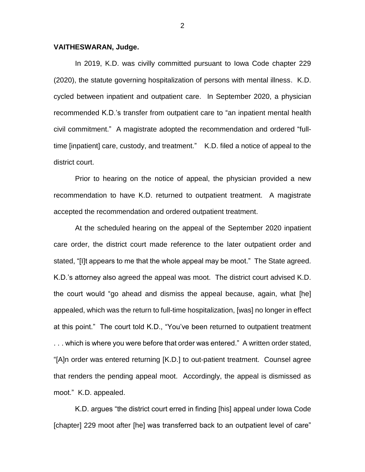## **VAITHESWARAN, Judge.**

In 2019, K.D. was civilly committed pursuant to Iowa Code chapter 229 (2020), the statute governing hospitalization of persons with mental illness. K.D. cycled between inpatient and outpatient care. In September 2020, a physician recommended K.D.'s transfer from outpatient care to "an inpatient mental health civil commitment." A magistrate adopted the recommendation and ordered "fulltime [inpatient] care, custody, and treatment." K.D. filed a notice of appeal to the district court.

Prior to hearing on the notice of appeal, the physician provided a new recommendation to have K.D. returned to outpatient treatment. A magistrate accepted the recommendation and ordered outpatient treatment.

At the scheduled hearing on the appeal of the September 2020 inpatient care order, the district court made reference to the later outpatient order and stated, "[I]t appears to me that the whole appeal may be moot." The State agreed. K.D.'s attorney also agreed the appeal was moot. The district court advised K.D. the court would "go ahead and dismiss the appeal because, again, what [he] appealed, which was the return to full-time hospitalization, [was] no longer in effect at this point." The court told K.D., "You've been returned to outpatient treatment . . . which is where you were before that order was entered." A written order stated, "[A]n order was entered returning [K.D.] to out-patient treatment. Counsel agree that renders the pending appeal moot. Accordingly, the appeal is dismissed as moot." K.D. appealed.

K.D. argues "the district court erred in finding [his] appeal under Iowa Code [chapter] 229 moot after [he] was transferred back to an outpatient level of care"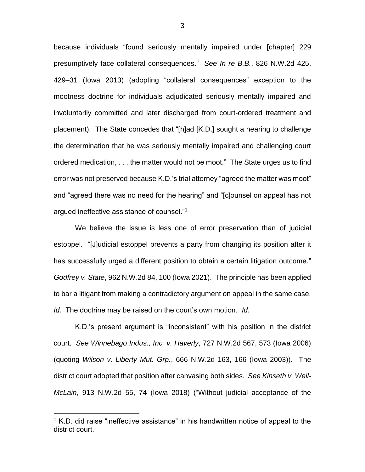because individuals "found seriously mentally impaired under [chapter] 229 presumptively face collateral consequences." *See In re B.B.*, 826 N.W.2d 425, 429–31 (Iowa 2013) (adopting "collateral consequences" exception to the mootness doctrine for individuals adjudicated seriously mentally impaired and involuntarily committed and later discharged from court-ordered treatment and placement). The State concedes that "[h]ad [K.D.] sought a hearing to challenge the determination that he was seriously mentally impaired and challenging court ordered medication, . . . the matter would not be moot." The State urges us to find error was not preserved because K.D.'s trial attorney "agreed the matter was moot" and "agreed there was no need for the hearing" and "[c]ounsel on appeal has not argued ineffective assistance of counsel."<sup>1</sup>

We believe the issue is less one of error preservation than of judicial estoppel. "[J]udicial estoppel prevents a party from changing its position after it has successfully urged a different position to obtain a certain litigation outcome." *Godfrey v. State*, 962 N.W.2d 84, 100 (Iowa 2021). The principle has been applied to bar a litigant from making a contradictory argument on appeal in the same case. *Id.* The doctrine may be raised on the court's own motion. *Id.*

K.D.'s present argument is "inconsistent" with his position in the district court. *See Winnebago Indus., Inc. v. Haverly*, 727 N.W.2d 567, 573 (Iowa 2006) (quoting *Wilson v. Liberty Mut. Grp.*, 666 N.W.2d 163, 166 (Iowa 2003)). The district court adopted that position after canvasing both sides. *See Kinseth v. Weil-McLain*, 913 N.W.2d 55, 74 (Iowa 2018) ("Without judicial acceptance of the

 $\overline{a}$ 

 $1$  K.D. did raise "ineffective assistance" in his handwritten notice of appeal to the district court.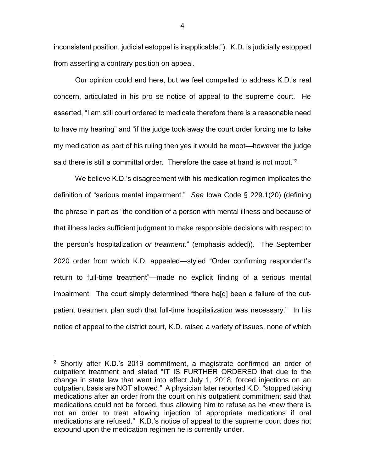inconsistent position, judicial estoppel is inapplicable."). K.D. is judicially estopped from asserting a contrary position on appeal.

Our opinion could end here, but we feel compelled to address K.D.'s real concern, articulated in his pro se notice of appeal to the supreme court. He asserted, "I am still court ordered to medicate therefore there is a reasonable need to have my hearing" and "if the judge took away the court order forcing me to take my medication as part of his ruling then yes it would be moot—however the judge said there is still a committal order. Therefore the case at hand is not moot."<sup>2</sup>

We believe K.D.'s disagreement with his medication regimen implicates the definition of "serious mental impairment." *See* Iowa Code § 229.1(20) (defining the phrase in part as "the condition of a person with mental illness and because of that illness lacks sufficient judgment to make responsible decisions with respect to the person's hospitalization *or treatment*." (emphasis added)). The September 2020 order from which K.D. appealed—styled "Order confirming respondent's return to full-time treatment"—made no explicit finding of a serious mental impairment. The court simply determined "there ha[d] been a failure of the outpatient treatment plan such that full-time hospitalization was necessary." In his notice of appeal to the district court, K.D. raised a variety of issues, none of which

 $\overline{a}$ 

<sup>&</sup>lt;sup>2</sup> Shortly after K.D.'s 2019 commitment, a magistrate confirmed an order of outpatient treatment and stated "IT IS FURTHER ORDERED that due to the change in state law that went into effect July 1, 2018, forced injections on an outpatient basis are NOT allowed." A physician later reported K.D. "stopped taking medications after an order from the court on his outpatient commitment said that medications could not be forced, thus allowing him to refuse as he knew there is not an order to treat allowing injection of appropriate medications if oral medications are refused." K.D.'s notice of appeal to the supreme court does not expound upon the medication regimen he is currently under.